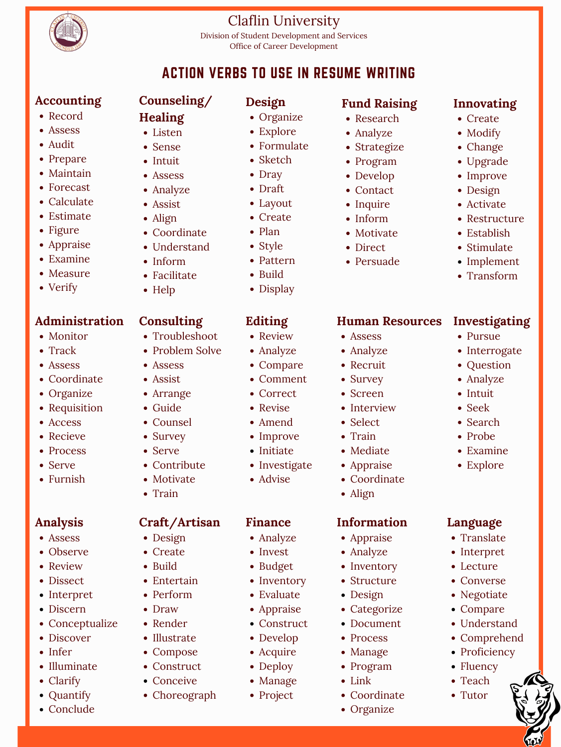

## Claflin University

Division of Student Development and Services Office of Career Development

## ACTION VERBS TO USE IN RESUME WRITING

- Listen
- Sense
- Intuit
- Assess
- Analyze
- Assist
- Align
- Coordinate
- Understand
- Inform
- Facilitate
- Help
- Record
- Assess
- Audit
- Prepare
- Maintain
- Forecast
- Calculate
- Estimate
- Figure
- Appraise
- Examine
- Measure
- Verify

### **Accounting**

## **Counseling/**

- Monitor
- Track
- Assess
- Coordinate
- Troubleshoot
- Problem Solve
- Assess
- Assist

- Guide
- Counsel
- Survey
- Serve
- Contribute
- Motivate
- Train

## **Design**

- Healing Organize
	- Explore
	- Formulate
	- Sketch
	- Dray
	-
	- Layout
	- Create
	- Plan
	- Style
	- Pattern
	- Build
	- Display

- Review
- Analyze
- Compare
- Comment

- Correct
- Revise
- Amend
- Improve
- Initiate
- Investigate
- Advise
- Assess
- Analyze
- Recruit
- Survey
- Research
- Analyze
- Strategize
- Program
- Develop
- Contact
- Inquire
- Inform
- Motivate
- Direct
- Persuade

### **Fund Raising**

- Intuit
- Seek
- Search
- Probe
- Examine
- Explore

- Assess
- Observe
- Review
- Dissect
- Interpret
- Discern
- Conceptualize
- Discover
- Infer
- Illuminate
- Clarify
- Quantify
- Conclude
- Create
- Modify
- Change
- Upgrade
- Improve
- Design
- Activate
- Restructure
- Establish
- Stimulate
- Implement
- Transform

#### **Innovating**

- Organize
- Requisition
- Access
- Recieve
- Process
- Serve
- Furnish

#### **Administration**

#### Arrange

### **Consulting**

### **Editing**

- Screen
- Interview
- Select
- Train
- Mediate
- Appraise
- Coordinate
- Align

#### **Human Resources**

- Pursue
- Interrogate
- Question
- Analyze

- Draft
- 
- 

#### **Investigating**

## **Analysis**

## **Craft/Artisan**

- Design
- Create
- Build
- Entertain
- Perform
- Draw
- Render
- Illustrate
- Compose
- Construct
- Conceive
- Choreograph

#### **Finance**

- Analyze
- Invest
- Budget
- Inventory
- Evaluate
- Appraise
- Construct
- Develop
- Acquire
- Deploy
- Manage
- Project
- Appraise
- Analyze
- Inventory
- Structure
- Design
- Categorize
- Document
- Process
- Manage
- Program
- Link
- Coordinate
- Organize

#### **Information**

Tutor

#### **Language**

- Translate
- Interpret
- Lecture
- Converse
- Negotiate
- Compare
- Understand
- Comprehend
- Proficiency

• Fluency

• Teach